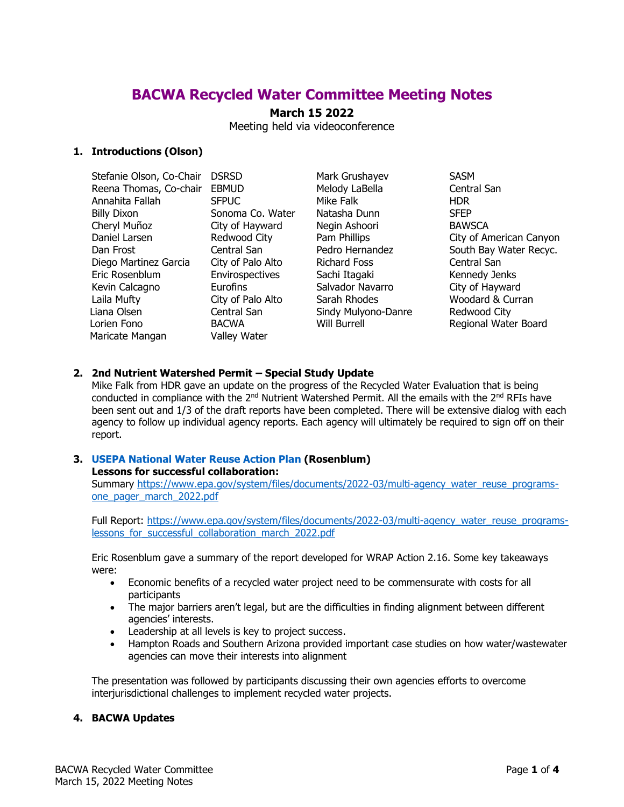# **BACWA Recycled Water Committee Meeting Notes**

# **March 15 2022**

Meeting held via videoconference

## **1. Introductions (Olson)**

| Stefanie Olson, Co-Chair | <b>DSRSD</b>      |
|--------------------------|-------------------|
| Reena Thomas, Co-chair   | <b>EBMUD</b>      |
| Annahita Fallah          | <b>SFPUC</b>      |
| <b>Billy Dixon</b>       | Sonoma Co. Water  |
| Cheryl Muñoz             | City of Hayward   |
| Daniel Larsen            | Redwood City      |
| Dan Frost                | Central San       |
| Diego Martinez Garcia    | City of Palo Alto |
| Eric Rosenblum           | Envirospectives   |
| Kevin Calcagno           | Eurofins          |
| Laila Mufty              | City of Palo Alto |
| Liana Olsen              | Central San       |
| Lorien Fono              | <b>BACWA</b>      |
| Maricate Mangan          | Valley Water      |

Mark Grushayev SASM Melody LaBella Central San Mike Falk **HDR** Natasha Dunn SFEP Negin Ashoori BAWSCA Richard Foss Central San Sachi Itagaki Kennedy Jenks Salvador Navarro City of Hayward Sarah Rhodes Woodard & Curran Sindy Mulyono-Danre Redwood City

Pam Phillips City of American Canyon Pedro Hernandez South Bay Water Recyc. Will Burrell **Regional Water Board** 

### **2. 2nd Nutrient Watershed Permit – Special Study Update**

Mike Falk from HDR gave an update on the progress of the Recycled Water Evaluation that is being conducted in compliance with the  $2^{nd}$  Nutrient Watershed Permit. All the emails with the  $2^{nd}$  RFIs have been sent out and 1/3 of the draft reports have been completed. There will be extensive dialog with each agency to follow up individual agency reports. Each agency will ultimately be required to sign off on their report.

## **3. USEPA National Water Reuse Action Plan (Rosenblum)**

### **Lessons for successful collaboration:**

Summary [https://www.epa.gov/system/files/documents/2022-03/multi-agency\\_water\\_reuse\\_programs](https://www.epa.gov/system/files/documents/2022-03/multi-agency_water_reuse_programs-one_pager_march_2022.pdf)one pager march 2022.pdf

Full Report: [https://www.epa.gov/system/files/documents/2022-03/multi-agency\\_water\\_reuse\\_programs](https://www.epa.gov/system/files/documents/2022-03/multi-agency_water_reuse_programs-lessons_for_successful_collaboration_march_2022.pdf)lessons for successful collaboration march 2022.pdf

Eric Rosenblum gave a summary of the report developed for WRAP Action 2.16. Some key takeaways were:

- Economic benefits of a recycled water project need to be commensurate with costs for all participants
- The major barriers aren't legal, but are the difficulties in finding alignment between different agencies' interests.
- Leadership at all levels is key to project success.
- Hampton Roads and Southern Arizona provided important case studies on how water/wastewater agencies can move their interests into alignment

The presentation was followed by participants discussing their own agencies efforts to overcome interjurisdictional challenges to implement recycled water projects.

#### **4. BACWA Updates**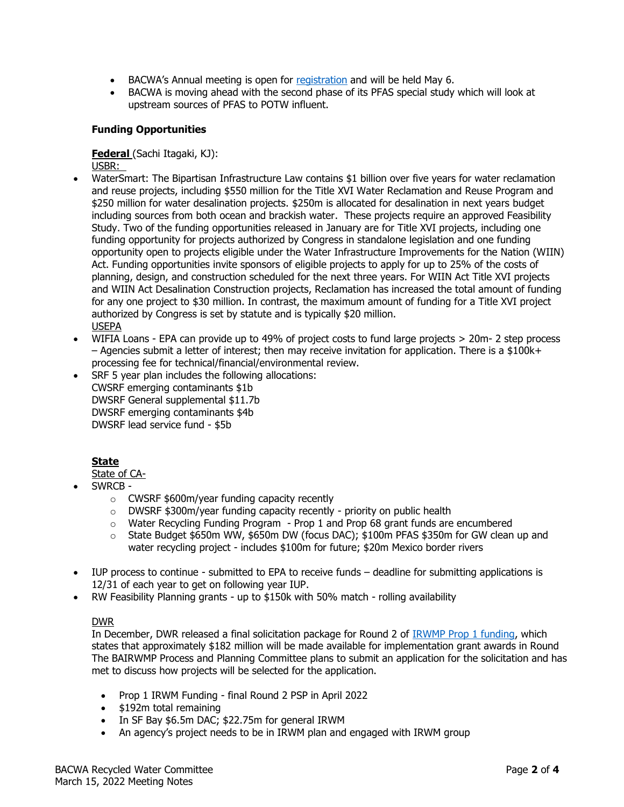- BACWA's Annual meeting is open for [registration](https://docs.google.com/forms/d/e/1FAIpQLSeE6mbOZ0PbTFVtWD42-Ka3KyjXAve86hCpbIa4WP0MKGqk3w/viewform) and will be held May 6.
- BACWA is moving ahead with the second phase of its PFAS special study which will look at upstream sources of PFAS to POTW influent.

## **Funding Opportunities**

# **Federal** (Sachi Itagaki, KJ):

USBR:

- WaterSmart: The Bipartisan Infrastructure Law contains \$1 billion over five years for water reclamation and reuse projects, including \$550 million for the Title XVI Water Reclamation and Reuse Program and \$250 million for water desalination projects. \$250m is allocated for desalination in next years budget including sources from both ocean and brackish water. These projects require an approved Feasibility Study. Two of the funding opportunities released in January are for Title XVI projects, including one funding opportunity for projects authorized by Congress in standalone legislation and one funding opportunity open to projects eligible under the Water Infrastructure Improvements for the Nation (WIIN) Act. Funding opportunities invite sponsors of eligible projects to apply for up to 25% of the costs of planning, design, and construction scheduled for the next three years. For WIIN Act Title XVI projects and WIIN Act Desalination Construction projects, Reclamation has increased the total amount of funding for any one project to \$30 million. In contrast, the maximum amount of funding for a Title XVI project authorized by Congress is set by statute and is typically \$20 million. USEPA
- WIFIA Loans EPA can provide up to 49% of project costs to fund large projects > 20m- 2 step process  $-$  Agencies submit a letter of interest; then may receive invitation for application. There is a \$100k+ processing fee for technical/financial/environmental review.
- SRF 5 year plan includes the following allocations: CWSRF emerging contaminants \$1b DWSRF General supplemental \$11.7b DWSRF emerging contaminants \$4b DWSRF lead service fund - \$5b

# **State**

State of CA-

- SWRCB
	- o CWSRF \$600m/year funding capacity recently
	- o DWSRF \$300m/year funding capacity recently priority on public health
	- $\circ$  Water Recycling Funding Program Prop 1 and Prop 68 grant funds are encumbered
	- $\circ$  State Budget \$650m WW, \$650m DW (focus DAC); \$100m PFAS \$350m for GW clean up and water recycling project - includes \$100m for future; \$20m Mexico border rivers
- IUP process to continue submitted to EPA to receive funds deadline for submitting applications is 12/31 of each year to get on following year IUP.
- RW Feasibility Planning grants up to \$150k with 50% match rolling availability

### DWR

In December, DWR released a final solicitation package for Round 2 of **IRWMP Prop 1 funding**, which states that approximately \$182 million will be made available for implementation grant awards in Round The BAIRWMP Process and Planning Committee plans to submit an application for the solicitation and has met to discuss how projects will be selected for the application.

- Prop 1 IRWM Funding final Round 2 PSP in April 2022
- \$192m total remaining
- In SF Bay \$6.5m DAC; \$22.75m for general IRWM
- An agency's project needs to be in IRWM plan and engaged with IRWM group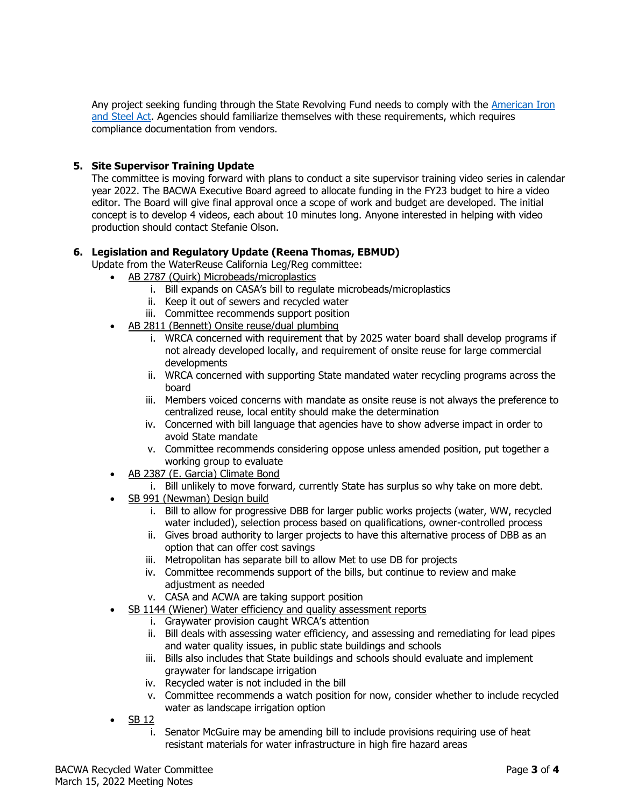Any project seeking funding through the State Revolving Fund needs to comply with the American Iron [and Steel Act.](https://www.waterboards.ca.gov/water_issues/programs/grants_loans/srf/docs/ais_compliance.pdf) Agencies should familiarize themselves with these requirements, which requires compliance documentation from vendors.

# **5. Site Supervisor Training Update**

The committee is moving forward with plans to conduct a site supervisor training video series in calendar year 2022. The BACWA Executive Board agreed to allocate funding in the FY23 budget to hire a video editor. The Board will give final approval once a scope of work and budget are developed. The initial concept is to develop 4 videos, each about 10 minutes long. Anyone interested in helping with video production should contact Stefanie Olson.

## **6. Legislation and Regulatory Update (Reena Thomas, EBMUD)**

- Update from the WaterReuse California Leg/Reg committee:
	- AB 2787 (Quirk) Microbeads/microplastics
		- i. Bill expands on CASA's bill to regulate microbeads/microplastics
		- ii. Keep it out of sewers and recycled water
		- iii. Committee recommends support position
	- AB 2811 (Bennett) Onsite reuse/dual plumbing
		- i. WRCA concerned with requirement that by 2025 water board shall develop programs if not already developed locally, and requirement of onsite reuse for large commercial developments
		- ii. WRCA concerned with supporting State mandated water recycling programs across the board
		- iii. Members voiced concerns with mandate as onsite reuse is not always the preference to centralized reuse, local entity should make the determination
		- iv. Concerned with bill language that agencies have to show adverse impact in order to avoid State mandate
		- v. Committee recommends considering oppose unless amended position, put together a working group to evaluate
	- AB 2387 (E. Garcia) Climate Bond
		- i. Bill unlikely to move forward, currently State has surplus so why take on more debt.
	- SB 991 (Newman) Design build
		- i. Bill to allow for progressive DBB for larger public works projects (water, WW, recycled water included), selection process based on qualifications, owner-controlled process
		- ii. Gives broad authority to larger projects to have this alternative process of DBB as an option that can offer cost savings
		- iii. Metropolitan has separate bill to allow Met to use DB for projects
		- iv. Committee recommends support of the bills, but continue to review and make adjustment as needed
		- v. CASA and ACWA are taking support position
	- SB 1144 (Wiener) Water efficiency and quality assessment reports
		- i. Graywater provision caught WRCA's attention
		- ii. Bill deals with assessing water efficiency, and assessing and remediating for lead pipes and water quality issues, in public state buildings and schools
		- iii. Bills also includes that State buildings and schools should evaluate and implement graywater for landscape irrigation
		- iv. Recycled water is not included in the bill
		- v. Committee recommends a watch position for now, consider whether to include recycled water as landscape irrigation option
	- SB 12
		- i. Senator McGuire may be amending bill to include provisions requiring use of heat resistant materials for water infrastructure in high fire hazard areas